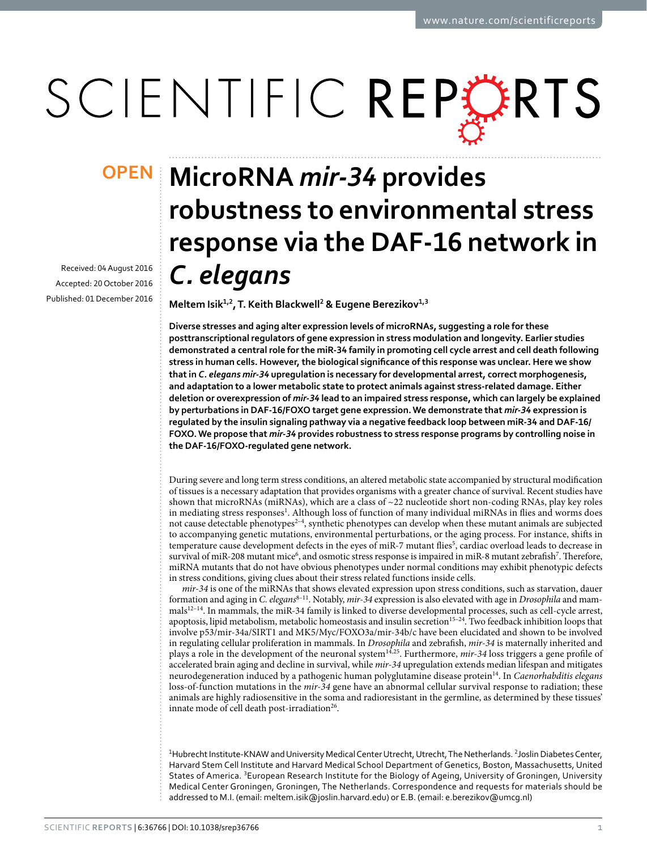# SCIENTIFIC REPERTS

Received: 04 August 2016 accepted: 20 October 2016 Published: 01 December 2016

## **MicroRNA** *mir-34* **provides OPENrobustness to environmental stress response via the DAF-16 network in**  *C. elegans*

**Meltem Isik1,<sup>2</sup>, T. Keith Blackwell2 & Eugene Berezikov1,<sup>3</sup>**

**Diverse stresses and aging alter expression levels of microRNAs, suggesting a role for these posttranscriptional regulators of gene expression in stress modulation and longevity. Earlier studies demonstrated a central role for the miR-34 family in promoting cell cycle arrest and cell death following stress in human cells. However, the biological significance of this response was unclear. Here we show that in** *C. elegans mir-34* **upregulation is necessary for developmental arrest, correct morphogenesis, and adaptation to a lower metabolic state to protect animals against stress-related damage. Either deletion or overexpression of** *mir-34* **lead to an impaired stress response, which can largely be explained by perturbations in DAF-16/FOXO target gene expression. We demonstrate that** *mir-34* **expression is regulated by the insulin signaling pathway via a negative feedback loop between miR-34 and DAF-16/ FOXO. We propose that** *mir-34* **provides robustness to stress response programs by controlling noise in the DAF-16/FOXO-regulated gene network.**

During severe and long term stress conditions, an altered metabolic state accompanied by structural modification of tissues is a necessary adaptation that provides organisms with a greater chance of survival. Recent studies have shown that microRNAs (miRNAs), which are a class of ~22 nucleotide short non-coding RNAs, play key roles in mediating stress responses<sup>[1](#page-8-0)</sup>. Although loss of function of many individual miRNAs in flies and worms does not cause detectable phenotypes<sup>2-4</sup>, synthetic phenotypes can develop when these mutant animals are subjected to accompanying genetic mutations, environmental perturbations, or the aging process. For instance, shifts in temperature cause development defects in the eyes of miR-7 mutant flies<sup>5</sup>, cardiac overload leads to decrease in survival of miR-208 mutant mice<sup>[6](#page-8-3)</sup>, and osmotic stress response is impaired in miR-8 mutant zebrafish<sup>[7](#page-8-4)</sup>. Therefore, miRNA mutants that do not have obvious phenotypes under normal conditions may exhibit phenotypic defects in stress conditions, giving clues about their stress related functions inside cells.

*mir-34* is one of the miRNAs that shows elevated expression upon stress conditions, such as starvation, dauer formation and aging in *C. elegans*[8–11](#page-8-5). Notably, *mir-34* expression is also elevated with age in *Drosophila* and mammals[12–14.](#page-8-6) In mammals, the miR-34 family is linked to diverse developmental processes, such as cell-cycle arrest, apoptosis, lipid metabolism, metabolic homeostasis and insulin secretion<sup>15-24</sup>. Two feedback inhibition loops that involve p53/mir-34a/SIRT1 and MK5/Myc/FOXO3a/mir-34b/c have been elucidated and shown to be involved in regulating cellular proliferation in mammals. In *Drosophila* and zebrafish, *mir-34* is maternally inherited and plays a role in the development of the neuronal system<sup>[14,](#page-8-8)25</sup>. Furthermore, *mir-34* loss triggers a gene profile of accelerated brain aging and decline in survival, while *mir-34* upregulation extends median lifespan and mitigates neurodegeneration induced by a pathogenic human polyglutamine disease protei[n14.](#page-8-8) In *Caenorhabditis elegans* loss-of-function mutations in the *mir-34* gene have an abnormal cellular survival response to radiation; these animals are highly radiosensitive in the soma and radioresistant in the germline, as determined by these tissues' innate mode of cell death post-irradiation<sup>[26](#page-9-1)</sup>.

<sup>1</sup>Hubrecht Institute-KNAW and University Medical Center Utrecht, Utrecht, The Netherlands. <sup>2</sup>Joslin Diabetes Center, Harvard Stem Cell Institute and Harvard Medical School Department of Genetics, Boston, Massachusetts, United States of America. <sup>3</sup>European Research Institute for the Biology of Ageing, University of Groningen, University Medical Center Groningen, Groningen, The Netherlands. Correspondence and requests for materials should be addressed to M.I. (email: [meltem.isik@joslin.harvard.edu\)](mailto:meltem.isik@joslin.harvard.edu) or E.B. (email: [e.berezikov@umcg.nl\)](mailto:e.berezikov@umcg.nl)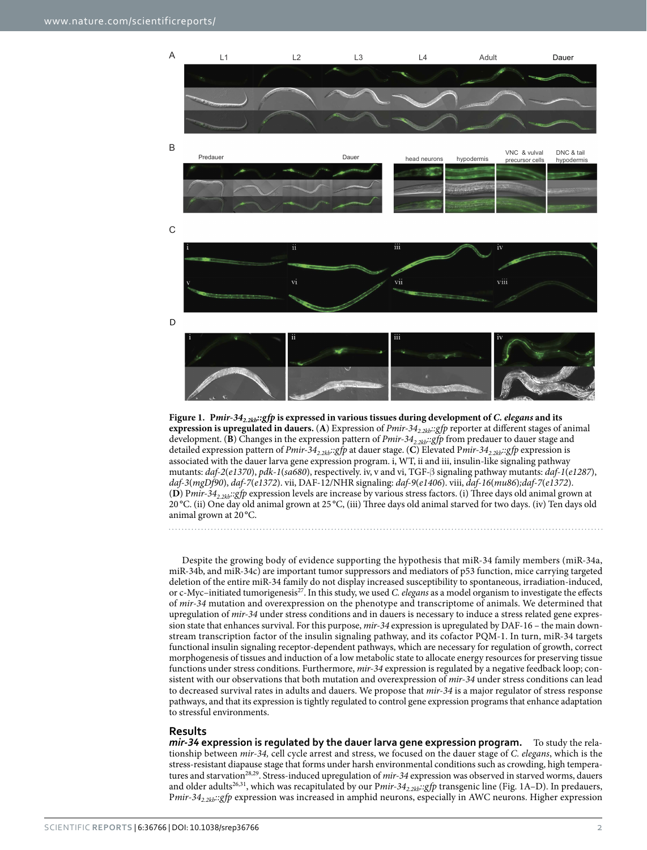

<span id="page-1-0"></span>

Despite the growing body of evidence supporting the hypothesis that miR-34 family members (miR-34a, miR-34b, and miR-34c) are important tumor suppressors and mediators of p53 function, mice carrying targeted deletion of the entire miR-34 family do not display increased susceptibility to spontaneous, irradiation-induced, or c-Myc-initiated tumorigenesis<sup>27</sup>. In this study, we used *C. elegans* as a model organism to investigate the effects of *mir-34* mutation and overexpression on the phenotype and transcriptome of animals. We determined that upregulation of *mir-34* under stress conditions and in dauers is necessary to induce a stress related gene expression state that enhances survival. For this purpose, *mir-34* expression is upregulated by DAF-16 – the main downstream transcription factor of the insulin signaling pathway, and its cofactor PQM-1. In turn, miR-34 targets functional insulin signaling receptor-dependent pathways, which are necessary for regulation of growth, correct morphogenesis of tissues and induction of a low metabolic state to allocate energy resources for preserving tissue functions under stress conditions. Furthermore, *mir-34* expression is regulated by a negative feedback loop; consistent with our observations that both mutation and overexpression of *mir-34* under stress conditions can lead to decreased survival rates in adults and dauers. We propose that *mir-34* is a major regulator of stress response pathways, and that its expression is tightly regulated to control gene expression programs that enhance adaptation to stressful environments.

#### **Results**

*mir-34* **expression is regulated by the dauer larva gene expression program.** To study the relationship between *mir-34,* cell cycle arrest and stress, we focused on the dauer stage of *C. elegans*, which is the stress-resistant diapause stage that forms under harsh environmental conditions such as crowding, high temperatures and starvation[28](#page-9-3),[29](#page-9-4). Stress-induced upregulation of *mir-34* expression was observed in starved worms, dauers and older adults<sup>[26,](#page-9-1)31</sup>, which was recapitulated by our Pmir-34<sub>2.2kb</sub>::gfp transgenic line (Fig. 1A-D). In predauers, P*mir-342.2kb::gfp* expression was increased in amphid neurons, especially in AWC neurons. Higher expression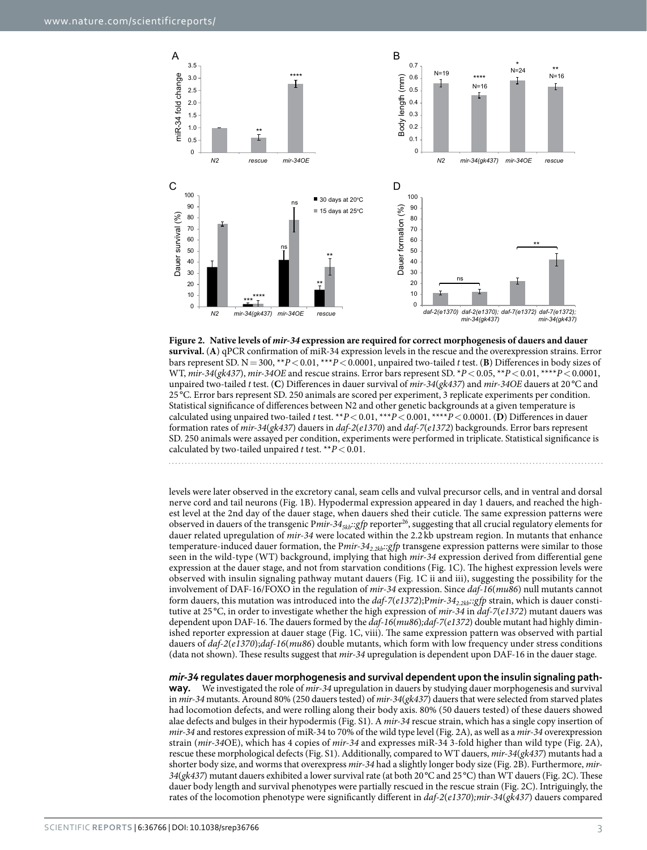

<span id="page-2-0"></span>

levels were later observed in the excretory canal, seam cells and vulval precursor cells, and in ventral and dorsal nerve cord and tail neurons [\(Fig. 1B\)](#page-1-0). Hypodermal expression appeared in day 1 dauers, and reached the highest level at the 2nd day of the dauer stage, when dauers shed their cuticle. The same expression patterns were observed in dauers of the transgenic Pmir-34<sub>5kb</sub>::gfp reporter<sup>26</sup>, suggesting that all crucial regulatory elements for dauer related upregulation of *mir-34* were located within the 2.2 kb upstream region. In mutants that enhance temperature-induced dauer formation, the P*mir-342.2kb::gfp* transgene expression patterns were similar to those seen in the wild-type (WT) background, implying that high *mir-34* expression derived from differential gene expression at the dauer stage, and not from starvation conditions ([Fig. 1C](#page-1-0)). The highest expression levels were observed with insulin signaling pathway mutant dauers ([Fig. 1C](#page-1-0) ii and iii), suggesting the possibility for the involvement of DAF-16/FOXO in the regulation of *mir-34* expression. Since *daf-16*(*mu86*) null mutants cannot form dauers, this mutation was introduced into the *daf-7*(*e1372*);Pmir-34<sub>2.2kb</sub>::gfp strain, which is dauer constitutive at 25 °C, in order to investigate whether the high expression of *mir-34* in *daf-7*(*e1372*) mutant dauers was dependent upon DAF-16. The dauers formed by the *daf-16*(*mu86*)*;daf-7*(*e1372*) double mutant had highly diminished reporter expression at dauer stage ([Fig. 1C,](#page-1-0) viii). The same expression pattern was observed with partial dauers of *daf-2*(*e1370*);*daf-16*(*mu86*) double mutants, which form with low frequency under stress conditions (data not shown). These results suggest that *mir-34* upregulation is dependent upon DAF-16 in the dauer stage.

*mir-34* **regulates dauer morphogenesis and survival dependent upon the insulin signaling pathway.** We investigated the role of *mir-34* upregulation in dauers by studying dauer morphogenesis and survival in *mir-34* mutants. Around 80% (250 dauers tested) of *mir-34*(*gk437*) dauers that were selected from starved plates had locomotion defects, and were rolling along their body axis. 80% (50 dauers tested) of these dauers showed alae defects and bulges in their hypodermis (Fig. S1). A *mir-34* rescue strain, which has a single copy insertion of *mir-34* and restores expression of miR-34 to 70% of the wild type level ([Fig. 2A\)](#page-2-0), as well as a *mir-34* overexpression strain (*mir-34*OE), which has 4 copies of *mir-34* and expresses miR-34 3-fold higher than wild type ([Fig. 2A](#page-2-0)), rescue these morphological defects (Fig. S1). Additionally, compared to WT dauers, *mir-34*(*gk437*) mutants had a shorter body size, and worms that overexpress *mir-34* had a slightly longer body size ([Fig. 2B](#page-2-0)). Furthermore, *mir-34*(*gk437*) mutant dauers exhibited a lower survival rate (at both 20°C and 25°C) than WT dauers [\(Fig. 2C](#page-2-0)). These dauer body length and survival phenotypes were partially rescued in the rescue strain [\(Fig. 2C\)](#page-2-0). Intriguingly, the rates of the locomotion phenotype were significantly different in *daf-2*(*e1370*)*;mir-34*(*gk437*) dauers compared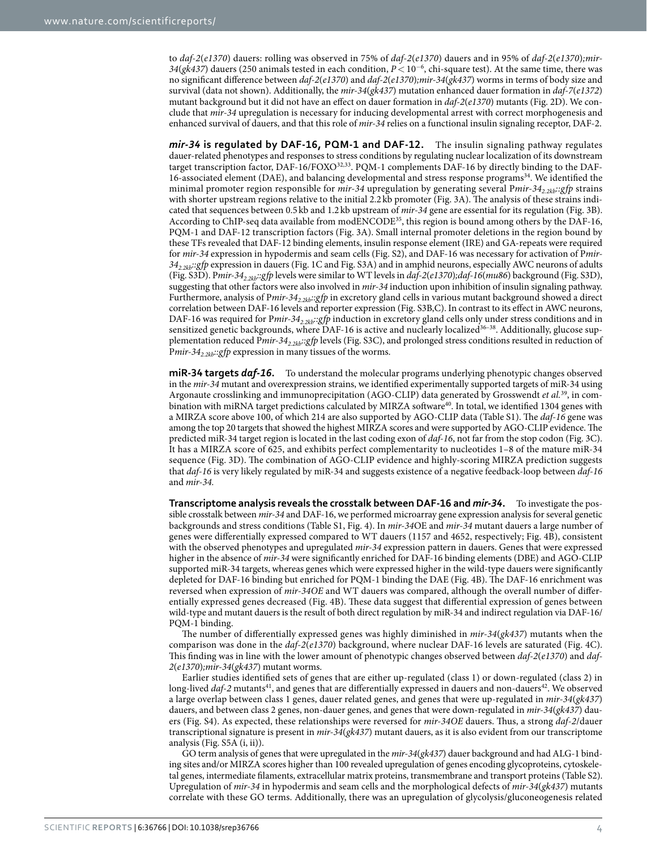to *daf-2*(*e1370*) dauers: rolling was observed in 75% of *daf-2*(*e1370*) dauers and in 95% of *daf-2*(*e1370*)*;mir-34*(*gk437*) dauers (250 animals tested in each condition, *P*< 10<sup>−</sup><sup>6</sup> , chi-square test). At the same time, there was no significant difference between *daf-2*(*e1370*) and *daf-2*(*e1370*)*;mir-34*(*gk437*) worms in terms of body size and survival (data not shown). Additionally, the *mir-34*(*gk437*) mutation enhanced dauer formation in *daf-7*(*e1372*) mutant background but it did not have an effect on dauer formation in *daf-2*(*e1370*) mutants [\(Fig. 2D](#page-2-0)). We conclude that *mir-34* upregulation is necessary for inducing developmental arrest with correct morphogenesis and enhanced survival of dauers, and that this role of *mir-34* relies on a functional insulin signaling receptor, DAF-2.

*mir-34* **is regulated by DAF-16, PQM-1 and DAF-12.** The insulin signaling pathway regulates dauer-related phenotypes and responses to stress conditions by regulating nuclear localization of its downstream target transcription factor, DAF-16/FOXO<sup>32[,33](#page-9-7)</sup>. PQM-1 complements DAF-16 by directly binding to the DAF-16-associated element (DAE), and balancing developmental and stress response programs<sup>34</sup>. We identified the minimal promoter region responsible for *mir-34* upregulation by generating several P*mir-342.2kb::gfp* strains with shorter upstream regions relative to the initial 2.2 kb promoter [\(Fig. 3A](#page-4-0)). The analysis of these strains indicated that sequences between 0.5 kb and 1.2 kb upstream of *mir-34* gene are essential for its regulation [\(Fig. 3B](#page-4-0)). According to ChIP-seq data available from modENCODE<sup>35</sup>, this region is bound among others by the DAF-16, PQM-1 and DAF-12 transcription factors [\(Fig. 3A\)](#page-4-0). Small internal promoter deletions in the region bound by these TFs revealed that DAF-12 binding elements, insulin response element (IRE) and GA-repeats were required for *mir-34* expression in hypodermis and seam cells (Fig. S2), and DAF-16 was necessary for activation of P*mir-342.2kb::gfp* expression in dauers [\(Fig. 1C](#page-1-0) and Fig. S3A) and in amphid neurons, especially AWC neurons of adults (Fig. S3D). P*mir-342.2kb::gfp* levels were similar to WT levels in *daf-2*(*e1370*)*;daf-16*(*mu86*) background (Fig. S3D), suggesting that other factors were also involved in *mir-34* induction upon inhibition of insulin signaling pathway. Furthermore, analysis of Pmir-34<sub>2 zkh</sub>::gfp in excretory gland cells in various mutant background showed a direct correlation between DAF-16 levels and reporter expression (Fig. S3B,C). In contrast to its effect in AWC neurons, DAF-16 was required for Pmir-34<sub>2.2kb</sub>::gfp induction in excretory gland cells only under stress conditions and in sensitized genetic backgrounds, where DAF-16 is active and nuclearly localized<sup>36-38</sup>. Additionally, glucose supplementation reduced P*mir-342.2kb::gfp* levels (Fig. S3C), and prolonged stress conditions resulted in reduction of Pmir-34<sub>2.2kb</sub>::gfp expression in many tissues of the worms.

**miR-34 targets** *daf-16***.** To understand the molecular programs underlying phenotypic changes observed in the *mir-34* mutant and overexpression strains, we identified experimentally supported targets of miR-34 using Argonaute crosslinking and immunoprecipitation (AGO-CLIP) data generated by Grosswendt *et al.*[39](#page-9-11), in com-bination with miRNA target predictions calculated by MIRZA software<sup>[40](#page-9-12)</sup>. In total, we identified 1304 genes with a MIRZA score above 100, of which 214 are also supported by AGO-CLIP data (Table S1). The *daf-16* gene was among the top 20 targets that showed the highest MIRZA scores and were supported by AGO-CLIP evidence. The predicted miR-34 target region is located in the last coding exon of *daf-16*, not far from the stop codon ([Fig. 3C](#page-4-0)). It has a MIRZA score of 625, and exhibits perfect complementarity to nucleotides 1–8 of the mature miR-34 sequence ([Fig. 3D\)](#page-4-0). The combination of AGO-CLIP evidence and highly-scoring MIRZA prediction suggests that *daf-16* is very likely regulated by miR-34 and suggests existence of a negative feedback-loop between *daf-16* and *mir-34.*

**Transcriptome analysis reveals the crosstalk between DAF-16 and** *mir-34***.** To investigate the possible crosstalk between *mir-34* and DAF-16, we performed microarray gene expression analysis for several genetic backgrounds and stress conditions (Table S1, [Fig. 4\)](#page-5-0). In *mir-34*OE and *mir-34* mutant dauers a large number of genes were differentially expressed compared to WT dauers (1157 and 4652, respectively; [Fig. 4B](#page-5-0)), consistent with the observed phenotypes and upregulated *mir-34* expression pattern in dauers. Genes that were expressed higher in the absence of *mir-34* were significantly enriched for DAF-16 binding elements (DBE) and AGO-CLIP supported miR-34 targets, whereas genes which were expressed higher in the wild-type dauers were significantly depleted for DAF-16 binding but enriched for PQM-1 binding the DAE [\(Fig. 4B](#page-5-0)). The DAF-16 enrichment was reversed when expression of *mir-34OE* and WT dauers was compared, although the overall number of differentially expressed genes decreased ([Fig. 4B](#page-5-0)). These data suggest that differential expression of genes between wild-type and mutant dauers is the result of both direct regulation by miR-34 and indirect regulation via DAF-16/ PQM-1 binding.

The number of differentially expressed genes was highly diminished in *mir-34*(*gk437*) mutants when the comparison was done in the *daf-2*(*e1370*) background, where nuclear DAF-16 levels are saturated ([Fig. 4C](#page-5-0)). This finding was in line with the lower amount of phenotypic changes observed between *daf-2*(*e1370*) and *daf-2*(*e1370*)*;mir-34*(*gk437*) mutant worms.

Earlier studies identified sets of genes that are either up-regulated (class 1) or down-regulated (class 2) in long-lived *daf-2* mutants<sup>41</sup>, and genes that are differentially expressed in dauers and non-dauers<sup>42</sup>. We observed a large overlap between class 1 genes, dauer related genes, and genes that were up-regulated in *mir-34*(*gk437*) dauers, and between class 2 genes, non-dauer genes, and genes that were down-regulated in *mir-34*(*gk437*) dauers (Fig. S4). As expected, these relationships were reversed for *mir-34OE* dauers. Thus, a strong *daf-2*/dauer transcriptional signature is present in *mir-34*(*gk437*) mutant dauers, as it is also evident from our transcriptome analysis (Fig. S5A (i, ii)).

GO term analysis of genes that were upregulated in the *mir-34*(*gk437*) dauer background and had ALG-1 binding sites and/or MIRZA scores higher than 100 revealed upregulation of genes encoding glycoproteins, cytoskeletal genes, intermediate filaments, extracellular matrix proteins, transmembrane and transport proteins (Table S2). Upregulation of *mir-34* in hypodermis and seam cells and the morphological defects of *mir-34*(*gk437*) mutants correlate with these GO terms. Additionally, there was an upregulation of glycolysis/gluconeogenesis related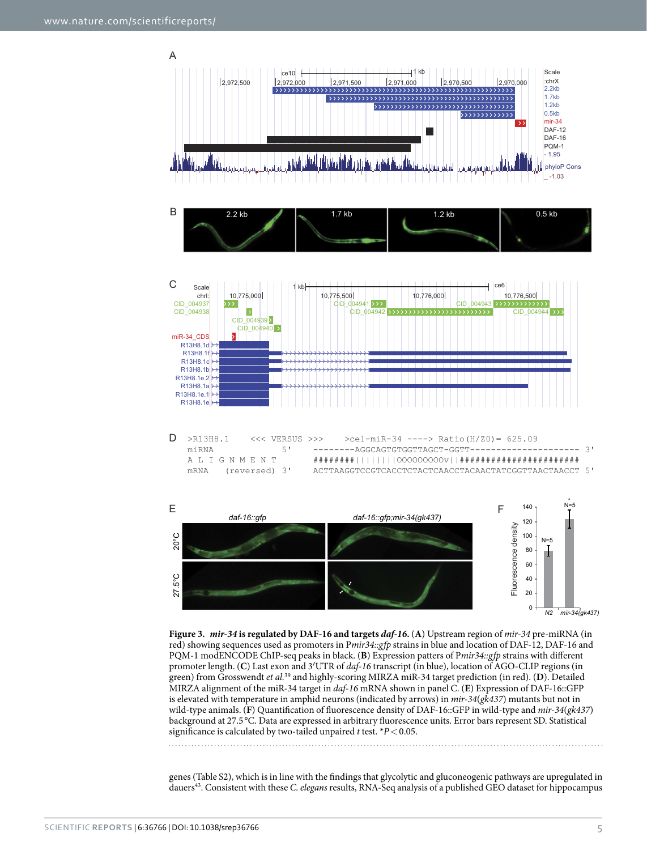

<span id="page-4-0"></span>**Figure 3.** *mir-34* **is regulated by DAF-16 and targets** *daf-16***.** (**A**) Upstream region of *mir-34* pre-miRNA (in red) showing sequences used as promoters in P*mir34::gfp* strains in blue and location of DAF-12, DAF-16 and PQM-1 modENCODE ChIP-seq peaks in black. (**B**) Expression patters of P*mir34::gfp* strains with different promoter length. (**C**) Last exon and 3′UTR of *daf-16* transcript (in blue), location of AGO-CLIP regions (in green) from Grosswendt *et al.*[39](#page-9-11) and highly-scoring MIRZA miR-34 target prediction (in red). (**D**). Detailed MIRZA alignment of the miR-34 target in *daf-16* mRNA shown in panel C. (**E**) Expression of DAF-16::GFP is elevated with temperature in amphid neurons (indicated by arrows) in *mir-34*(*gk437*) mutants but not in wild-type animals. (**F**) Quantification of fluorescence density of DAF-16::GFP in wild-type and *mir-34*(*gk437*) background at 27.5 °C. Data are expressed in arbitrary fluorescence units. Error bars represent SD. Statistical significance is calculated by two-tailed unpaired *t* test. \**P*<0.05.

genes (Table S2), which is in line with the findings that glycolytic and gluconeogenic pathways are upregulated in dauer[s43.](#page-9-15) Consistent with these *C. elegans* results, RNA-Seq analysis of a published GEO dataset for hippocampus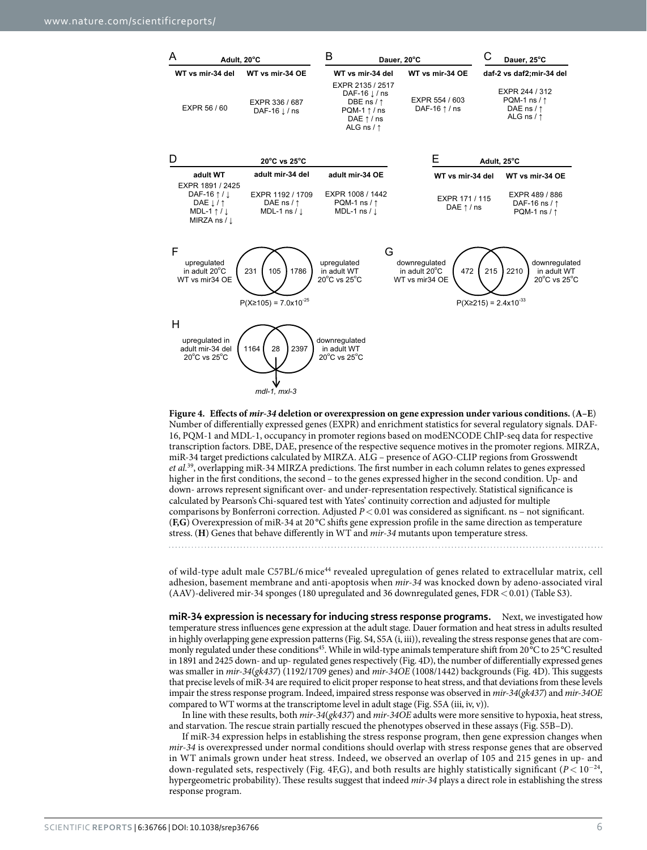

<span id="page-5-0"></span>**Figure 4. Effects of** *mir-34* **deletion or overexpression on gene expression under various conditions.** (**A–E**) Number of differentially expressed genes (EXPR) and enrichment statistics for several regulatory signals. DAF-16, PQM-1 and MDL-1, occupancy in promoter regions based on modENCODE ChIP-seq data for respective transcription factors. DBE, DAE, presence of the respective sequence motives in the promoter regions. MIRZA, miR-34 target predictions calculated by MIRZA. ALG – presence of AGO-CLIP regions from Grosswendt *et al.*[39](#page-9-11), overlapping miR-34 MIRZA predictions. The first number in each column relates to genes expressed higher in the first conditions, the second – to the genes expressed higher in the second condition. Up- and down- arrows represent significant over- and under-representation respectively. Statistical significance is calculated by Pearson's Chi-squared test with Yates' continuity correction and adjusted for multiple comparisons by Bonferroni correction. Adjusted *P*<0.01 was considered as significant. ns – not significant. (**F,G**) Overexpression of miR-34 at 20 °C shifts gene expression profile in the same direction as temperature stress. (**H**) Genes that behave differently in WT and *mir-34* mutants upon temperature stress.

of wild-type adult male C57BL/6 mice[44](#page-9-16) revealed upregulation of genes related to extracellular matrix, cell adhesion, basement membrane and anti-apoptosis when *mir-34* was knocked down by adeno-associated viral (AAV)-delivered mir-34 sponges (180 upregulated and 36 downregulated genes, FDR < 0.01) (Table S3).

**miR-34 expression is necessary for inducing stress response programs.** Next, we investigated how temperature stress influences gene expression at the adult stage. Dauer formation and heat stress in adults resulted in highly overlapping gene expression patterns (Fig. S4, S5A (i, iii)), revealing the stress response genes that are commonly regulated under these conditions<sup>45</sup>. While in wild-type animals temperature shift from 20°C to 25°C resulted in 1891 and 2425 down- and up- regulated genes respectively ([Fig. 4D\)](#page-5-0), the number of differentially expressed genes was smaller in *mir-34*(*gk437*) (1192/1709 genes) and *mir-34OE* (1008/1442) backgrounds [\(Fig. 4D](#page-5-0)). This suggests that precise levels of miR-34 are required to elicit proper response to heat stress, and that deviations from these levels impair the stress response program. Indeed, impaired stress response was observed in *mir-34*(*gk437*) and *mir-34OE* compared to WT worms at the transcriptome level in adult stage (Fig. S5A (iii, iv, v)).

In line with these results, both *mir-34*(*gk437*) and *mir-34OE* adults were more sensitive to hypoxia, heat stress, and starvation. The rescue strain partially rescued the phenotypes observed in these assays (Fig. S5B–D).

If miR-34 expression helps in establishing the stress response program, then gene expression changes when *mir-34* is overexpressed under normal conditions should overlap with stress response genes that are observed in WT animals grown under heat stress. Indeed, we observed an overlap of 105 and 215 genes in up- and down-regulated sets, respectively [\(Fig. 4F,G\)](#page-5-0), and both results are highly statistically significant ( $P < 10^{-24}$ , hypergeometric probability). These results suggest that indeed *mir-34* plays a direct role in establishing the stress response program.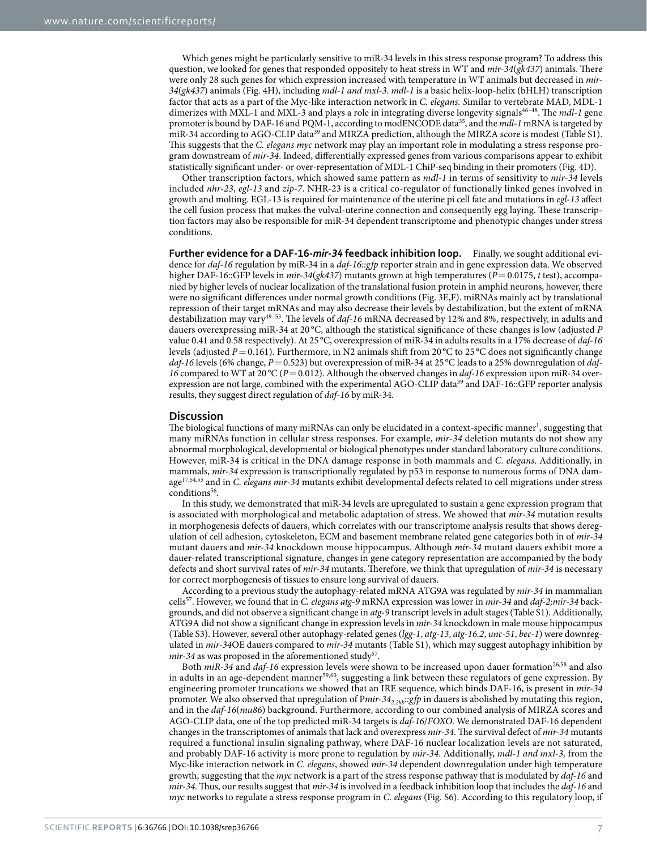Which genes might be particularly sensitive to miR-34 levels in this stress response program? To address this question, we looked for genes that responded oppositely to heat stress in WT and *mir-34*(*gk437*) animals. There were only 28 such genes for which expression increased with temperature in WT animals but decreased in *mir-34*(*gk437*) animals ([Fig. 4H](#page-5-0)), including *mdl-1 and mxl-3*. *mdl-1* is a basic helix-loop-helix (bHLH) transcription factor that acts as a part of the Myc-like interaction network in *C. elegans. S*imilar to vertebrate MAD, MDL-1 dimerizes with MXL-1 and MXL-3 and plays a role in integrating diverse longevity signals<sup>46-48</sup>. The *mdl-1* gene promoter is bound by DAF-16 and PQM-1, according to modENCODE data[35](#page-9-9), and the *mdl-1* mRNA is targeted by miR-34 according to AGO-CLIP data<sup>39</sup> and MIRZA prediction, although the MIRZA score is modest (Table S1). This suggests that the *C. elegans myc* network may play an important role in modulating a stress response program downstream of *mir-34*. Indeed, differentially expressed genes from various comparisons appear to exhibit statistically significant under- or over-representation of MDL-1 ChiP-seq binding in their promoters ([Fig. 4D\)](#page-5-0).

Other transcription factors, which showed same pattern as *mdl-1* in terms of sensitivity to *mir-34* levels included *nhr-23*, *egl-13* and *zip-7*. NHR-23 is a critical co-regulator of functionally linked genes involved in growth and molting. EGL-13 is required for maintenance of the uterine pi cell fate and mutations in *egl-13* affect the cell fusion process that makes the vulval-uterine connection and consequently egg laying. These transcription factors may also be responsible for miR-34 dependent transcriptome and phenotypic changes under stress conditions.

**Further evidence for a DAF-16-***mir-34* **feedback inhibition loop.** Finally, we sought additional evidence for *daf-16* regulation by miR-34 in a *daf-16::gfp* reporter strain and in gene expression data. We observed higher DAF-16::GFP levels in *mir-34(gk437)* mutants grown at high temperatures ( $\overline{P}$  = 0.0175, *t* test), accompanied by higher levels of nuclear localization of the translational fusion protein in amphid neurons, however, there were no significant differences under normal growth conditions [\(Fig. 3E,F\)](#page-4-0). miRNAs mainly act by translational repression of their target mRNAs and may also decrease their levels by destabilization, but the extent of mRNA destabilization may var[y49–53.](#page-9-19) The levels of *daf-16* mRNA decreased by 12% and 8%, respectively, in adults and dauers overexpressing miR*-*34 at 20 °C, although the statistical significance of these changes is low (adjusted *P* value 0.41 and 0.58 respectively). At 25 °C, overexpression of miR-34 in adults results in a 17% decrease of *daf-16* levels (adjusted  $P = 0.161$ ). Furthermore, in N2 animals shift from 20 °C to 25 °C does not significantly change *daf-16* levels (6% change, *P*=0.523) but overexpression of miR-34 at 25 °C leads to a 25% downregulation of *daf-16* compared to WT at 20 °C (*P* = 0.012). Although the observed changes in *daf-16* expression upon miR-34 over-expression are not large, combined with the experimental AGO-CLIP data<sup>[39](#page-9-11)</sup> and DAF-16::GFP reporter analysis results, they suggest direct regulation of *daf-16* by miR-34.

#### **Discussion**

The biological functions of many miRNAs can only be elucidated in a context-specific manner<sup>[1](#page-8-0)</sup>, suggesting that many miRNAs function in cellular stress responses. For example, *mir-34* deletion mutants do not show any abnormal morphological, developmental or biological phenotypes under standard laboratory culture conditions. However, miR-34 is critical in the DNA damage response in both mammals and *C. elegans*. Additionally, in mammals, *mir-34* expression is transcriptionally regulated by p53 in response to numerous forms of DNA damage[17](#page-9-20),[54](#page-9-21),[55](#page-9-22) and in *C. elegans mir-34* mutants exhibit developmental defects related to cell migrations under stress conditions<sup>[56](#page-9-23)</sup>

In this study, we demonstrated that miR-34 levels are upregulated to sustain a gene expression program that is associated with morphological and metabolic adaptation of stress. We showed that *mir-34* mutation results in morphogenesis defects of dauers, which correlates with our transcriptome analysis results that shows deregulation of cell adhesion, cytoskeleton, ECM and basement membrane related gene categories both in of *mir-34* mutant dauers and *mir-34* knockdown mouse hippocampus. Although *mir-34* mutant dauers exhibit more a dauer-related transcriptional signature, changes in gene category representation are accompanied by the body defects and short survival rates of *mir-34* mutants. Therefore, we think that upregulation of *mir-34* is necessary for correct morphogenesis of tissues to ensure long survival of dauers.

According to a previous study the autophagy-related mRNA ATG9A was regulated by *mir-34* in mammalian cell[s57.](#page-9-24) However, we found that in *C. elegans atg-9* mRNA expression was lower in *mir-34* and *daf-2;mir-34* backgrounds, and did not observe a significant change in *atg-9* transcript levels in adult stages (Table S1). Additionally, ATG9A did not show a significant change in expression levels in *mir-34* knockdown in male mouse hippocampus (Table S3). However, several other autophagy-related genes (*lgg-1*, *atg-13*, *atg-16.2*, *unc-51*, *bec-1*) were downregulated in *mir-34*OE dauers compared to *mir-34* mutants (Table S1), which may suggest autophagy inhibition by *mir-34* as was proposed in the aforementioned study<sup>57</sup>.

Both *miR-34* and *daf-16* expression levels were shown to be increased upon dauer formation<sup>[26,](#page-9-1)58</sup> and also in adults in an age-dependent manner<sup>[59,](#page-9-26)60</sup>, suggesting a link between these regulators of gene expression. By engineering promoter truncations we showed that an IRE sequence, which binds DAF-16, is present in *mir-34* promoter. We also observed that upregulation of P*mir-342.2kb::gfp* in dauers is abolished by mutating this region, and in the *daf-16*(*mu86*) background. Furthermore, according to our combined analysis of MIRZA scores and AGO-CLIP data, one of the top predicted miR-34 targets is *daf-16*/*FOXO*. We demonstrated DAF-16 dependent changes in the transcriptomes of animals that lack and overexpress *mir-34*. The survival defect of *mir-34* mutants required a functional insulin signaling pathway, where DAF-16 nuclear localization levels are not saturated, and probably DAF-16 activity is more prone to regulation by *mir-34*. Additionally, *mdl-1 and mxl-3,* from the Myc-like interaction network in *C. elegans*, showed *mir-34* dependent downregulation under high temperature growth, suggesting that the *myc* network is a part of the stress response pathway that is modulated by *daf-16* and *mir-34*. Thus, our results suggest that *mir-34* is involved in a feedback inhibition loop that includes the *daf-16* and *myc* networks to regulate a stress response program in *C. elegans* (Fig. S6). According to this regulatory loop, if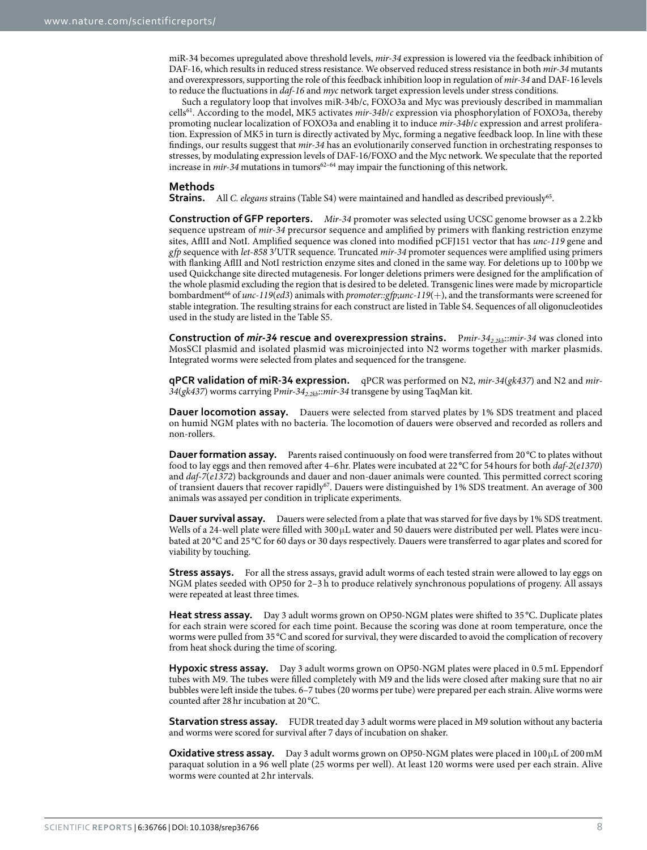miR-34 becomes upregulated above threshold levels, *mir-34* expression is lowered via the feedback inhibition of DAF-16, which results in reduced stress resistance. We observed reduced stress resistance in both *mir-34* mutants and overexpressors, supporting the role of this feedback inhibition loop in regulation of *mir-34* and DAF-16 levels to reduce the fluctuations in *daf-16* and *myc* network target expression levels under stress conditions.

Such a regulatory loop that involves miR-34b/c, FOXO3a and Myc was previously described in mammalian cell[s61](#page-9-28). According to the model, MK5 activates *mir-34b*/*c* expression via phosphorylation of FOXO3a, thereby promoting nuclear localization of FOXO3a and enabling it to induce *mir-34b*/*c* expression and arrest proliferation. Expression of MK5 in turn is directly activated by Myc, forming a negative feedback loop. In line with these findings, our results suggest that *mir-34* has an evolutionarily conserved function in orchestrating responses to stresses, by modulating expression levels of DAF-16/FOXO and the Myc network. We speculate that the reported increase in *mir-34* mutations in tumors<sup>[62–64](#page-9-29)</sup> may impair the functioning of this network.

#### **Methods**

**Strains.** All *C. elegans* strains (Table S4) were maintained and handled as described previously[65](#page-9-30).

**Construction of GFP reporters.** *Mir-34* promoter was selected using UCSC genome browser as a 2.2 kb sequence upstream of *mir-34* precursor sequence and amplified by primers with flanking restriction enzyme sites, AflII and NotI. Amplified sequence was cloned into modified pCFJ151 vector that has *unc-119* gene and *gfp* sequence with *let-858* 3′UTR sequence. Truncated *mir-34* promoter sequences were amplified using primers with flanking AflII and NotI restriction enzyme sites and cloned in the same way. For deletions up to 100 bp we used Quickchange site directed mutagenesis. For longer deletions primers were designed for the amplification of the whole plasmid excluding the region that is desired to be deleted. Transgenic lines were made by microparticle bombardment[66](#page-9-31) of *unc-119*(*ed3*) animals with *promoter::gfp*;*unc-119*(+), and the transformants were screened for stable integration. The resulting strains for each construct are listed in Table S4. Sequences of all oligonucleotides used in the study are listed in the Table S5.

**Construction of** *mir-34* **rescue and overexpression strains.** Pmir-34<sub>2.2kb</sub>::*mir-34* was cloned into MosSCI plasmid and isolated plasmid was microinjected into N2 worms together with marker plasmids. Integrated worms were selected from plates and sequenced for the transgene.

**qPCR validation of miR-34 expression.** qPCR was performed on N2, *mir-34*(*gk437*) and N2 and *mir-*34(*gk437*) worms carrying Pmir-34<sub>2.2kb</sub>::mir-34 transgene by using TaqMan kit.

**Dauer locomotion assay.** Dauers were selected from starved plates by 1% SDS treatment and placed on humid NGM plates with no bacteria. The locomotion of dauers were observed and recorded as rollers and non-rollers.

**Dauer formation assay.** Parents raised continuously on food were transferred from 20 °C to plates without food to lay eggs and then removed after 4–6hr. Plates were incubated at 22 °C for 54hours for both *daf-2*(*e1370*) and *daf-7*(*e1372*) backgrounds and dauer and non-dauer animals were counted. This permitted correct scoring of transient dauers that recover rapidly<sup>67</sup>. Dauers were distinguished by 1% SDS treatment. An average of 300 animals was assayed per condition in triplicate experiments.

**Dauer survival assay.** Dauers were selected from a plate that was starved for five days by 1% SDS treatment. Wells of a 24-well plate were filled with 300 μL water and 50 dauers were distributed per well. Plates were incubated at 20 °C and 25 °C for 60 days or 30 days respectively. Dauers were transferred to agar plates and scored for viability by touching.

**Stress assays.** For all the stress assays, gravid adult worms of each tested strain were allowed to lay eggs on NGM plates seeded with OP50 for 2–3 h to produce relatively synchronous populations of progeny. All assays were repeated at least three times.

**Heat stress assay.** Day 3 adult worms grown on OP50-NGM plates were shifted to 35 °C. Duplicate plates for each strain were scored for each time point. Because the scoring was done at room temperature, once the worms were pulled from 35 °C and scored for survival, they were discarded to avoid the complication of recovery from heat shock during the time of scoring.

**Hypoxic stress assay.** Day 3 adult worms grown on OP50-NGM plates were placed in 0.5 mL Eppendorf tubes with M9. The tubes were filled completely with M9 and the lids were closed after making sure that no air bubbles were left inside the tubes. 6–7 tubes (20 worms per tube) were prepared per each strain. Alive worms were counted after 28hr incubation at 20 °C.

**Starvation stress assay.** FUDR treated day 3 adult worms were placed in M9 solution without any bacteria and worms were scored for survival after 7 days of incubation on shaker.

**Oxidative stress assay.** Day 3 adult worms grown on OP50-NGM plates were placed in 100 µL of 200 mM paraquat solution in a 96 well plate (25 worms per well). At least 120 worms were used per each strain. Alive worms were counted at 2hr intervals.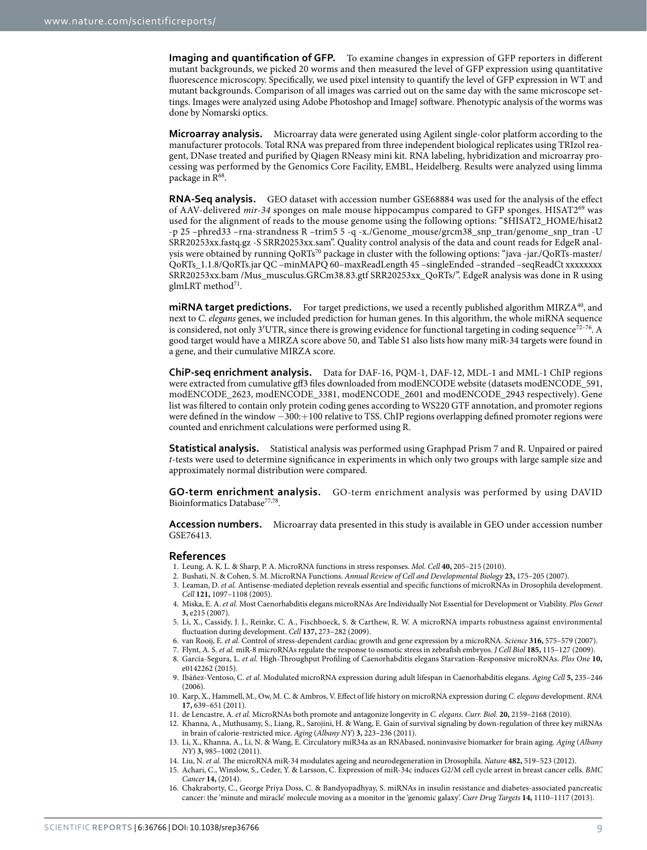**Imaging and quantification of GFP.** To examine changes in expression of GFP reporters in different mutant backgrounds, we picked 20 worms and then measured the level of GFP expression using quantitative fluorescence microscopy. Specifically, we used pixel intensity to quantify the level of GFP expression in WT and mutant backgrounds. Comparison of all images was carried out on the same day with the same microscope settings. Images were analyzed using Adobe Photoshop and ImageJ software. Phenotypic analysis of the worms was done by Nomarski optics.

**Microarray analysis.** Microarray data were generated using Agilent single-color platform according to the manufacturer protocols. Total RNA was prepared from three independent biological replicates using TRIzol reagent, DNase treated and purified by Qiagen RNeasy mini kit. RNA labeling, hybridization and microarray processing was performed by the Genomics Core Facility, EMBL, Heidelberg. Results were analyzed using limma package in  $R^{68}$ .

**RNA-Seq analysis.** GEO dataset with accession number GSE68884 was used for the analysis of the effect of AAV-delivered mir-34 sponges on male mouse hippocampus compared to GFP sponges. HISAT2<sup>[69](#page-10-2)</sup> was used for the alignment of reads to the mouse genome using the following options: "\$HISAT2\_HOME/hisat2 -p 25 –phred33 –rna-strandness R –trim5 5 -q -x./Genome\_mouse/grcm38\_snp\_tran/genome\_snp\_tran -U SRR20253xx.fastq.gz -S SRR20253xx.sam". Quality control analysis of the data and count reads for EdgeR analysis were obtained by running QoRTs<sup>70</sup> package in cluster with the following options: "java -jar./QoRTs-master/ QoRTs\_1.1.8/QoRTs.jar QC –minMAPQ 60–maxReadLength 45 –singleEnded –stranded –seqReadCt xxxxxxxx SRR20253xx.bam /Mus\_musculus.GRCm38.83.gtf SRR20253xx\_QoRTs/". EdgeR analysis was done in R using  $g$ lmLRT method<sup>71</sup>.

**miRNA target predictions.** For target predictions, we used a recently published algorithm MIRZA<sup>40</sup>, and next to *C. elegans* genes, we included prediction for human genes. In this algorithm, the whole miRNA sequence is considered, not only 3′UTR, since there is growing evidence for functional targeting in coding sequence<sup>72–76</sup>. A good target would have a MIRZA score above 50, and Table S1 also lists how many miR-34 targets were found in a gene, and their cumulative MIRZA score.

**ChiP-seq enrichment analysis.** Data for DAF-16, PQM-1, DAF-12, MDL-1 and MML-1 ChIP regions were extracted from cumulative gff3 files downloaded from modENCODE website (datasets modENCODE\_591, modENCODE\_2623, modENCODE\_3381, modENCODE\_2601 and modENCODE\_2943 respectively). Gene list was filtered to contain only protein coding genes according to WS220 GTF annotation, and promoter regions were defined in the window −300:+100 relative to TSS. ChIP regions overlapping defined promoter regions were counted and enrichment calculations were performed using R.

**Statistical analysis.** Statistical analysis was performed using Graphpad Prism 7 and R. Unpaired or paired *t*-tests were used to determine significance in experiments in which only two groups with large sample size and approximately normal distribution were compared.

**GO-term enrichment analysis.** GO-term enrichment analysis was performed by using DAVID Bioinformatics Database<sup>[77](#page-10-6),[78](#page-10-7)</sup>.

**Accession numbers.** Microarray data presented in this study is available in GEO under accession number GSE76413.

#### **References**

- <span id="page-8-0"></span>1. Leung, A. K. L. & Sharp, P. A. MicroRNA functions in stress responses. *Mol. Cell* **40,** 205–215 (2010).
- <span id="page-8-1"></span>2. Bushati, N. & Cohen, S. M. MicroRNA Functions. *Annual Review of Cell and Developmental Biology* **23,** 175–205 (2007).
- 3. Leaman, D. *et al.* Antisense-mediated depletion reveals essential and specific functions of microRNAs in Drosophila development. *Cell* **121,** 1097–1108 (2005).
- 4. Miska, E. A. *et al.* Most Caenorhabditis elegans microRNAs Are Individually Not Essential for Development or Viability. *Plos Genet* **3,** e215 (2007).
- <span id="page-8-2"></span>5. Li, X., Cassidy, J. J., Reinke, C. A., Fischboeck, S. & Carthew, R. W. A microRNA imparts robustness against environmental fluctuation during development. *Cell* **137,** 273–282 (2009).
- <span id="page-8-3"></span>6. van Rooij, E. *et al.* Control of stress-dependent cardiac growth and gene expression by a microRNA. *Science* **316,** 575–579 (2007).
- <span id="page-8-4"></span>7. Flynt, A. S. *et al.* miR-8 microRNAs regulate the response to osmotic stress in zebrafish embryos. *J Cell Biol* **185,** 115–127 (2009).
- <span id="page-8-5"></span>8. Garcia-Segura, L. *et al.* High-Throughput Profiling of Caenorhabditis elegans Starvation-Responsive microRNAs. *Plos One* **10,** e0142262 (2015).
- 9. Ibáñez-Ventoso, C. *et al.* Modulated microRNA expression during adult lifespan in Caenorhabditis elegans. *Aging Cell* **5,** 235–246 (2006).
- 10. Karp, X., Hammell, M., Ow, M. C. & Ambros, V. Effect of life history on microRNA expression during *C. elegans* development. *RNA* **17,** 639–651 (2011).
- 11. de Lencastre, A. *et al.* MicroRNAs both promote and antagonize longevity in *C. elegans*. *Curr. Biol.* **20,** 2159–2168 (2010).
- <span id="page-8-6"></span>12. Khanna, A., Muthusamy, S., Liang, R., Sarojini, H. & Wang, E. Gain of survival signaling by down-regulation of three key miRNAs in brain of calorie-restricted mice. *Aging* (*Albany NY*) **3,** 223–236 (2011).
- 13. Li, X., Khanna, A., Li, N. & Wang, E. Circulatory miR34a as an RNAbased, noninvasive biomarker for brain aging. *Aging* (*Albany NY*) **3,** 985–1002 (2011).
- <span id="page-8-8"></span>14. Liu, N. *et al.* The microRNA miR-34 modulates ageing and neurodegeneration in Drosophila. *Nature* **482,** 519–523 (2012).
- <span id="page-8-7"></span>15. Achari, C., Winslow, S., Ceder, Y. & Larsson, C. Expression of miR-34c induces G2/M cell cycle arrest in breast cancer cells. *BMC Cancer* **14,** (2014).
- 16. Chakraborty, C., George Priya Doss, C. & Bandyopadhyay, S. miRNAs in insulin resistance and diabetes-associated pancreatic cancer: the 'minute and miracle' molecule moving as a monitor in the 'genomic galaxy'. *Curr Drug Targets* **14,** 1110–1117 (2013).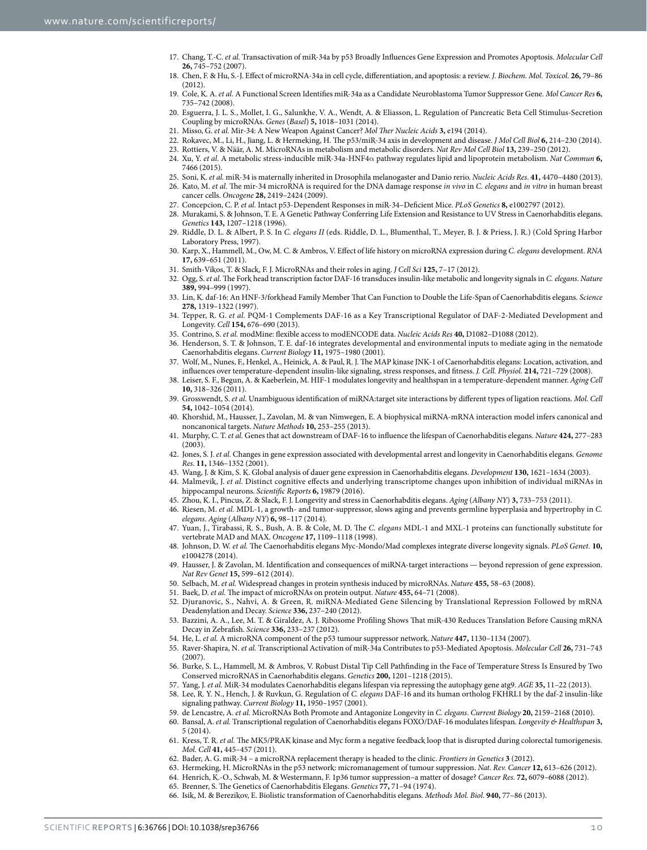- <span id="page-9-20"></span>17. Chang, T.-C. *et al.* Transactivation of miR-34a by p53 Broadly Influences Gene Expression and Promotes Apoptosis. *Molecular Cell* **26,** 745–752 (2007).
- 18. Chen, F. & Hu, S.-J. Effect of microRNA-34a in cell cycle, differentiation, and apoptosis: a review. *J. Biochem. Mol. Toxicol.* **26,** 79–86  $(2012)$
- 19. Cole, K. A. *et al.* A Functional Screen Identifies miR-34a as a Candidate Neuroblastoma Tumor Suppressor Gene. *Mol Cancer Res* **6,** 735–742 (2008).
- 20. Esguerra, J. L. S., Mollet, I. G., Salunkhe, V. A., Wendt, A. & Eliasson, L. Regulation of Pancreatic Beta Cell Stimulus-Secretion Coupling by microRNAs. *Genes* (*Basel*) **5,** 1018–1031 (2014).
- 21. Misso, G. *et al.* Mir-34: A New Weapon Against Cancer? *Mol Ther Nucleic Acids* **3,** e194 (2014).
- 22. Rokavec, M., Li, H., Jiang, L. & Hermeking, H. The p53/miR-34 axis in development and disease. *J Mol Cell Biol* **6,** 214–230 (2014).
- 23. Rottiers, V. & Näär, A. M. MicroRNAs in metabolism and metabolic disorders. *Nat Rev Mol Cell Biol* **13,** 239–250 (2012).
- 24. Xu, Y. *et al.* A metabolic stress-inducible miR-34a-HNF4α pathway regulates lipid and lipoprotein metabolism. *Nat Commun* **6,** 7466 (2015).
- <span id="page-9-1"></span><span id="page-9-0"></span>25. Soni, K. *et al.* miR-34 is maternally inherited in Drosophila melanogaster and Danio rerio. *Nucleic Acids Res*. **41,** 4470–4480 (2013). 26. Kato, M. *et al.* The mir-34 microRNA is required for the DNA damage response *in vivo* in *C. elegans* and *in vitro* in human breast
	- cancer cells. *Oncogene* **28,** 2419–2424 (2009).
- <span id="page-9-2"></span>27. Concepcion, C. P. *et al.* Intact p53-Dependent Responses in miR-34–Deficient Mice. *PLoS Genetics* **8,** e1002797 (2012).
- <span id="page-9-3"></span>28. Murakami, S. & Johnson, T. E. A Genetic Pathway Conferring Life Extension and Resistance to UV Stress in Caenorhabditis elegans. *Genetics* **143,** 1207–1218 (1996).
- <span id="page-9-4"></span>29. Riddle, D. L. & Albert, P. S. In *C. elegans II* (eds. Riddle, D. L., Blumenthal, T., Meyer, B. J. & Priess, J. R.) (Cold Spring Harbor Laboratory Press, 1997).
- 30. Karp, X., Hammell, M., Ow, M. C. & Ambros, V. Effect of life history on microRNA expression during *C. elegans* development. *RNA* **17,** 639–651 (2011).
- <span id="page-9-5"></span>31. Smith-Vikos, T. & Slack, F. J. MicroRNAs and their roles in aging. *J Cell Sci* **125,** 7–17 (2012).
- <span id="page-9-6"></span>32. Ogg, S. *et al.* The Fork head transcription factor DAF-16 transduces insulin-like metabolic and longevity signals in *C. elegans*. *Nature* **389,** 994–999 (1997).
- <span id="page-9-7"></span>33. Lin, K. daf-16: An HNF-3/forkhead Family Member That Can Function to Double the Life-Span of Caenorhabditis elegans. *Science* **278,** 1319–1322 (1997).
- <span id="page-9-8"></span>34. Tepper, R. G. *et al.* PQM-1 Complements DAF-16 as a Key Transcriptional Regulator of DAF-2-Mediated Development and Longevity. *Cell* **154,** 676–690 (2013).
- <span id="page-9-9"></span>35. Contrino, S. *et al.* modMine: flexible access to modENCODE data. *Nucleic Acids Res* **40,** D1082–D1088 (2012).
- <span id="page-9-10"></span>36. Henderson, S. T. & Johnson, T. E. daf-16 integrates developmental and environmental inputs to mediate aging in the nematode Caenorhabditis elegans. *Current Biology* **11,** 1975–1980 (2001).
- 37. Wolf, M., Nunes, F., Henkel, A., Heinick, A. & Paul, R. J. The MAP kinase JNK-1 of Caenorhabditis elegans: Location, activation, and influences over temperature-dependent insulin-like signaling, stress responses, and fitness. *J. Cell. Physiol.* **214,** 721–729 (2008).
- 38. Leiser, S. F., Begun, A. & Kaeberlein, M. HIF-1 modulates longevity and healthspan in a temperature-dependent manner. *Aging Cell* **10,** 318–326 (2011).
- <span id="page-9-11"></span>39. Grosswendt, S. *et al.* Unambiguous identification of miRNA:target site interactions by different types of ligation reactions. *Mol. Cell* **54,** 1042–1054 (2014).
- <span id="page-9-12"></span>40. Khorshid, M., Hausser, J., Zavolan, M. & van Nimwegen, E. A biophysical miRNA-mRNA interaction model infers canonical and noncanonical targets. *Nature Methods* **10,** 253–255 (2013).
- <span id="page-9-13"></span>41. Murphy, C. T. *et al.* Genes that act downstream of DAF-16 to influence the lifespan of Caenorhabditis elegans. *Nature* **424,** 277–283 (2003).
- <span id="page-9-14"></span>42. Jones, S. J. *et al.* Changes in gene expression associated with developmental arrest and longevity in Caenorhabditis elegans. *Genome Res*. **11,** 1346–1352 (2001).
- <span id="page-9-15"></span>43. Wang, J. & Kim, S. K. Global analysis of dauer gene expression in Caenorhabditis elegans. *Development* **130,** 1621–1634 (2003).
- <span id="page-9-16"></span>44. Malmevik, J. *et al.* Distinct cognitive effects and underlying transcriptome changes upon inhibition of individual miRNAs in hippocampal neurons. *Scientific Reports* **6,** 19879 (2016).
- <span id="page-9-17"></span>45. Zhou, K. I., Pincus, Z. & Slack, F. J. Longevity and stress in Caenorhabditis elegans. *Aging* (*Albany NY*) **3,** 733–753 (2011).
- <span id="page-9-18"></span>46. Riesen, M. *et al.* MDL-1, a growth- and tumor-suppressor, slows aging and prevents germline hyperplasia and hypertrophy in *C. elegans*. *Aging* (*Albany NY*) **6,** 98–117 (2014).
- 47. Yuan, J., Tirabassi, R. S., Bush, A. B. & Cole, M. D. The *C. elegans* MDL-1 and MXL-1 proteins can functionally substitute for vertebrate MAD and MAX. *Oncogene* **17,** 1109–1118 (1998).
- 48. Johnson, D. W. *et al.* The Caenorhabditis elegans Myc-Mondo/Mad complexes integrate diverse longevity signals. *PLoS Genet*. **10,** e1004278 (2014).
- <span id="page-9-19"></span>49. Hausser, J. & Zavolan, M. Identification and consequences of miRNA-target interactions — beyond repression of gene expression. *Nat Rev Genet* **15,** 599–612 (2014).
- 50. Selbach, M. *et al.* Widespread changes in protein synthesis induced by microRNAs. *Nature* **455,** 58–63 (2008).
- 51. Baek, D. *et al.* The impact of microRNAs on protein output. *Nature* **455,** 64–71 (2008).
- 52. Djuranovic, S., Nahvi, A. & Green, R. miRNA-Mediated Gene Silencing by Translational Repression Followed by mRNA Deadenylation and Decay. *Science* **336,** 237–240 (2012).
- 53. Bazzini, A. A., Lee, M. T. & Giraldez, A. J. Ribosome Profiling Shows That miR-430 Reduces Translation Before Causing mRNA Decay in Zebrafish. *Science* **336,** 233–237 (2012).
- <span id="page-9-22"></span><span id="page-9-21"></span>54. He, L. *et al.* A microRNA component of the p53 tumour suppressor network. *Nature* **447,** 1130–1134 (2007).
- 55. Raver-Shapira, N. *et al.* Transcriptional Activation of miR-34a Contributes to p53-Mediated Apoptosis. *Molecular Cell* **26,** 731–743  $(2007)$
- <span id="page-9-23"></span>56. Burke, S. L., Hammell, M. & Ambros, V. Robust Distal Tip Cell Pathfinding in the Face of Temperature Stress Is Ensured by Two Conserved microRNAS in Caenorhabditis elegans. *Genetics* **200,** 1201–1218 (2015).
- <span id="page-9-25"></span><span id="page-9-24"></span>57. Yang, J. *et al.* MiR-34 modulates Caenorhabditis elegans lifespan via repressing the autophagy gene atg9. *AGE* **35,** 11–22 (2013).
- 58. Lee, R. Y. N., Hench, J. & Ruvkun, G. Regulation of *C. elegans* DAF-16 and its human ortholog FKHRL1 by the daf-2 insulin-like signaling pathway. *Current Biology* **11,** 1950–1957 (2001).
- 59. de Lencastre, A. *et al.* MicroRNAs Both Promote and Antagonize Longevity in *C. elegans*. *Current Biology* **20,** 2159–2168 (2010).
- <span id="page-9-27"></span><span id="page-9-26"></span>60. Bansal, A. *et al.* Transcriptional regulation of Caenorhabditis elegans FOXO/DAF-16 modulates lifespan. *Longevity & Healthspan* **3,** 5 (2014).
- <span id="page-9-28"></span>61. Kress, T. R. *et al.* The MK5/PRAK kinase and Myc form a negative feedback loop that is disrupted during colorectal tumorigenesis. *Mol. Cell* **41,** 445–457 (2011).
- <span id="page-9-29"></span>62. Bader, A. G. miR-34 – a microRNA replacement therapy is headed to the clinic. *Frontiers in Genetics* **3** (2012).
- 63. Hermeking, H. MicroRNAs in the p53 network: micromanagement of tumour suppression. *Nat. Rev. Cancer* **12,** 613–626 (2012).
- 64. Henrich, K.-O., Schwab, M. & Westermann, F. 1p36 tumor suppression–a matter of dosage? *Cancer Res*. **72,** 6079–6088 (2012).
	- 65. Brenner, S. The Genetics of Caenorhabditis Elegans. *Genetics* **77,** 71–94 (1974).
- <span id="page-9-31"></span><span id="page-9-30"></span>66. Isik, M. & Berezikov, E. Biolistic transformation of Caenorhabditis elegans. *Methods Mol. Biol*. **940,** 77–86 (2013).